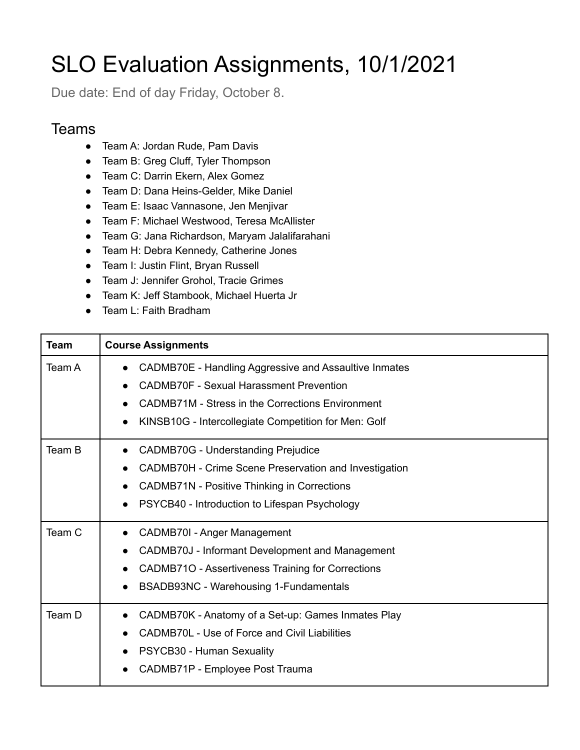## SLO Evaluation Assignments, 10/1/2021

Due date: End of day Friday, October 8.

## **Teams**

- Team A: Jordan Rude, Pam Davis
- Team B: Greg Cluff, Tyler Thompson
- Team C: Darrin Ekern, Alex Gomez
- Team D: Dana Heins-Gelder, Mike Daniel
- Team E: Isaac Vannasone, Jen Menjivar
- Team F: Michael Westwood, Teresa McAllister
- Team G: Jana Richardson, Maryam Jalalifarahani
- Team H: Debra Kennedy, Catherine Jones
- Team I: Justin Flint, Bryan Russell
- Team J: Jennifer Grohol, Tracie Grimes
- Team K: Jeff Stambook, Michael Huerta Jr
- Team L: Faith Bradham

| <b>Team</b> | <b>Course Assignments</b>                                                                                                                                                                                           |
|-------------|---------------------------------------------------------------------------------------------------------------------------------------------------------------------------------------------------------------------|
| Team A      | CADMB70E - Handling Aggressive and Assaultive Inmates<br><b>CADMB70F - Sexual Harassment Prevention</b><br>CADMB71M - Stress in the Corrections Environment<br>KINSB10G - Intercollegiate Competition for Men: Golf |
| Team B      | <b>CADMB70G - Understanding Prejudice</b><br>$\bullet$<br>CADMB70H - Crime Scene Preservation and Investigation<br>CADMB71N - Positive Thinking in Corrections<br>PSYCB40 - Introduction to Lifespan Psychology     |
| Team C      | CADMB70I - Anger Management<br>CADMB70J - Informant Development and Management<br>CADMB71O - Assertiveness Training for Corrections<br>$\bullet$<br>BSADB93NC - Warehousing 1-Fundamentals                          |
| Team D      | CADMB70K - Anatomy of a Set-up: Games Inmates Play<br>$\bullet$<br>CADMB70L - Use of Force and Civil Liabilities<br>PSYCB30 - Human Sexuality<br>CADMB71P - Employee Post Trauma                                    |